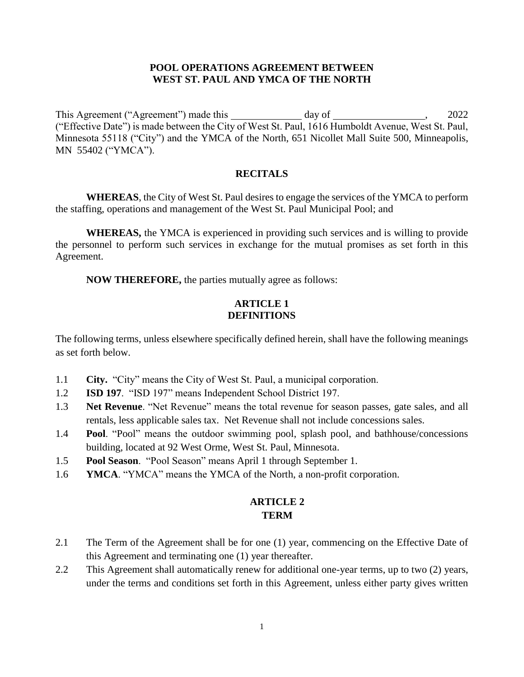#### **POOL OPERATIONS AGREEMENT BETWEEN WEST ST. PAUL AND YMCA OF THE NORTH**

This Agreement ("Agreement") made this day of , 2022 ("Effective Date") is made between the City of West St. Paul, 1616 Humboldt Avenue, West St. Paul, Minnesota 55118 ("City") and the YMCA of the North, 651 Nicollet Mall Suite 500, Minneapolis, MN 55402 ("YMCA").

#### **RECITALS**

**WHEREAS**, the City of West St. Paul desires to engage the services of the YMCA to perform the staffing, operations and management of the West St. Paul Municipal Pool; and

**WHEREAS,** the YMCA is experienced in providing such services and is willing to provide the personnel to perform such services in exchange for the mutual promises as set forth in this Agreement.

**NOW THEREFORE,** the parties mutually agree as follows:

### **ARTICLE 1 DEFINITIONS**

The following terms, unless elsewhere specifically defined herein, shall have the following meanings as set forth below.

- 1.1 **City.** "City" means the City of West St. Paul, a municipal corporation.
- 1.2 **ISD 197**. "ISD 197" means Independent School District 197.
- 1.3 **Net Revenue**. "Net Revenue" means the total revenue for season passes, gate sales, and all rentals, less applicable sales tax. Net Revenue shall not include concessions sales.
- 1.4 **Pool**. "Pool" means the outdoor swimming pool, splash pool, and bathhouse/concessions building, located at 92 West Orme, West St. Paul, Minnesota.
- 1.5 **Pool Season**. "Pool Season" means April 1 through September 1.
- 1.6 **YMCA**. "YMCA" means the YMCA of the North, a non-profit corporation.

## **ARTICLE 2 TERM**

- 2.1 The Term of the Agreement shall be for one (1) year, commencing on the Effective Date of this Agreement and terminating one (1) year thereafter.
- 2.2 This Agreement shall automatically renew for additional one-year terms, up to two (2) years, under the terms and conditions set forth in this Agreement, unless either party gives written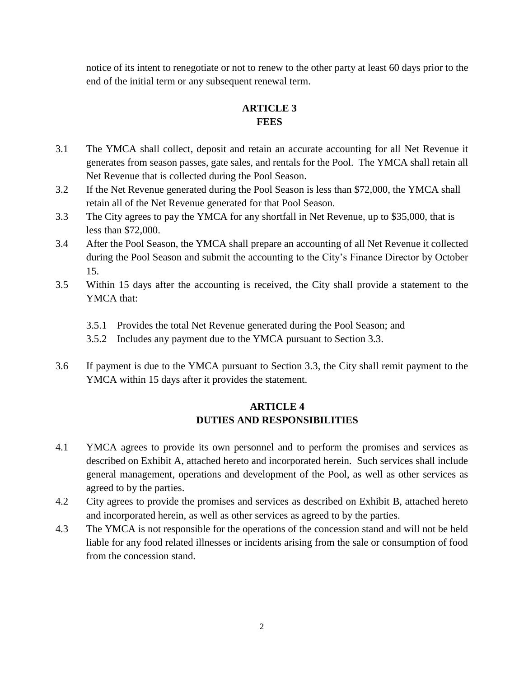notice of its intent to renegotiate or not to renew to the other party at least 60 days prior to the end of the initial term or any subsequent renewal term.

# **ARTICLE 3 FEES**

- 3.1 The YMCA shall collect, deposit and retain an accurate accounting for all Net Revenue it generates from season passes, gate sales, and rentals for the Pool. The YMCA shall retain all Net Revenue that is collected during the Pool Season.
- 3.2 If the Net Revenue generated during the Pool Season is less than \$72,000, the YMCA shall retain all of the Net Revenue generated for that Pool Season.
- 3.3 The City agrees to pay the YMCA for any shortfall in Net Revenue, up to \$35,000, that is less than \$72,000.
- 3.4 After the Pool Season, the YMCA shall prepare an accounting of all Net Revenue it collected during the Pool Season and submit the accounting to the City's Finance Director by October 15.
- 3.5 Within 15 days after the accounting is received, the City shall provide a statement to the YMCA that:
	- 3.5.1 Provides the total Net Revenue generated during the Pool Season; and
	- 3.5.2 Includes any payment due to the YMCA pursuant to Section 3.3.
- 3.6 If payment is due to the YMCA pursuant to Section 3.3, the City shall remit payment to the YMCA within 15 days after it provides the statement.

# **ARTICLE 4 DUTIES AND RESPONSIBILITIES**

- 4.1 YMCA agrees to provide its own personnel and to perform the promises and services as described on Exhibit A, attached hereto and incorporated herein. Such services shall include general management, operations and development of the Pool, as well as other services as agreed to by the parties.
- 4.2 City agrees to provide the promises and services as described on Exhibit B, attached hereto and incorporated herein, as well as other services as agreed to by the parties.
- 4.3 The YMCA is not responsible for the operations of the concession stand and will not be held liable for any food related illnesses or incidents arising from the sale or consumption of food from the concession stand.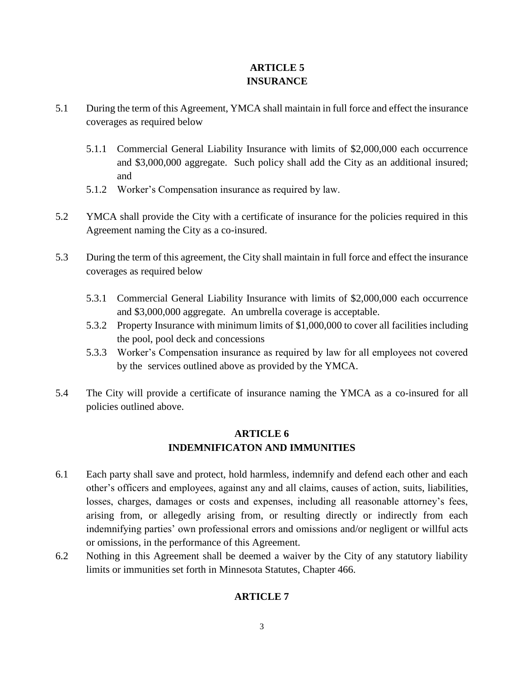# **ARTICLE 5 INSURANCE**

- 5.1 During the term of this Agreement, YMCA shall maintain in full force and effect the insurance coverages as required below
	- 5.1.1 Commercial General Liability Insurance with limits of \$2,000,000 each occurrence and \$3,000,000 aggregate. Such policy shall add the City as an additional insured; and
	- 5.1.2 Worker's Compensation insurance as required by law.
- 5.2 YMCA shall provide the City with a certificate of insurance for the policies required in this Agreement naming the City as a co-insured.
- 5.3 During the term of this agreement, the City shall maintain in full force and effect the insurance coverages as required below
	- 5.3.1 Commercial General Liability Insurance with limits of \$2,000,000 each occurrence and \$3,000,000 aggregate. An umbrella coverage is acceptable.
	- 5.3.2 Property Insurance with minimum limits of \$1,000,000 to cover all facilities including the pool, pool deck and concessions
	- 5.3.3 Worker's Compensation insurance as required by law for all employees not covered by the services outlined above as provided by the YMCA.
- 5.4 The City will provide a certificate of insurance naming the YMCA as a co-insured for all policies outlined above.

# **ARTICLE 6 INDEMNIFICATON AND IMMUNITIES**

- 6.1 Each party shall save and protect, hold harmless, indemnify and defend each other and each other's officers and employees, against any and all claims, causes of action, suits, liabilities, losses, charges, damages or costs and expenses, including all reasonable attorney's fees, arising from, or allegedly arising from, or resulting directly or indirectly from each indemnifying parties' own professional errors and omissions and/or negligent or willful acts or omissions, in the performance of this Agreement.
- 6.2 Nothing in this Agreement shall be deemed a waiver by the City of any statutory liability limits or immunities set forth in Minnesota Statutes, Chapter 466.

# **ARTICLE 7**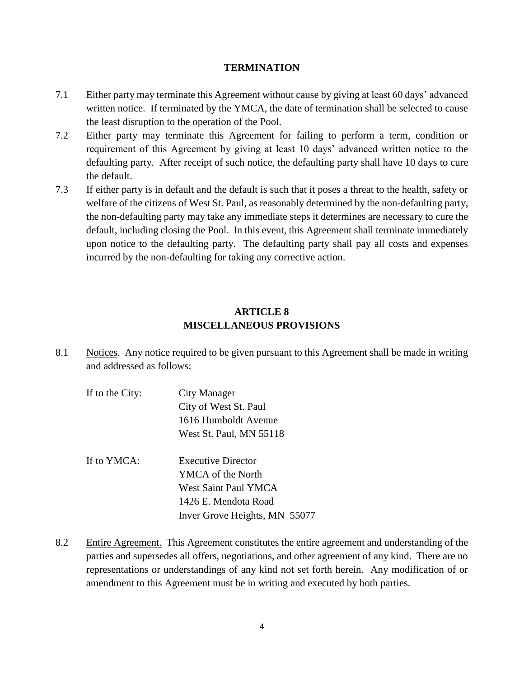#### **TERMINATION**

- 7.1 Either party may terminate this Agreement without cause by giving at least 60 days' advanced written notice. If terminated by the YMCA, the date of termination shall be selected to cause the least disruption to the operation of the Pool.
- 7.2 Either party may terminate this Agreement for failing to perform a term, condition or requirement of this Agreement by giving at least 10 days' advanced written notice to the defaulting party. After receipt of such notice, the defaulting party shall have 10 days to cure the default.
- 7.3 If either party is in default and the default is such that it poses a threat to the health, safety or welfare of the citizens of West St. Paul, as reasonably determined by the non-defaulting party, the non-defaulting party may take any immediate steps it determines are necessary to cure the default, including closing the Pool. In this event, this Agreement shall terminate immediately upon notice to the defaulting party. The defaulting party shall pay all costs and expenses incurred by the non-defaulting for taking any corrective action.

## **ARTICLE 8 MISCELLANEOUS PROVISIONS**

- 8.1 Notices. Any notice required to be given pursuant to this Agreement shall be made in writing and addressed as follows:
	- If to the City: City Manager City of West St. Paul 1616 Humboldt Avenue West St. Paul, MN 55118 If to YMCA: Executive Director YMCA of the North West Saint Paul YMCA
		- 1426 E. Mendota Road Inver Grove Heights, MN 55077
- 8.2 Entire Agreement. This Agreement constitutes the entire agreement and understanding of the parties and supersedes all offers, negotiations, and other agreement of any kind. There are no representations or understandings of any kind not set forth herein. Any modification of or amendment to this Agreement must be in writing and executed by both parties.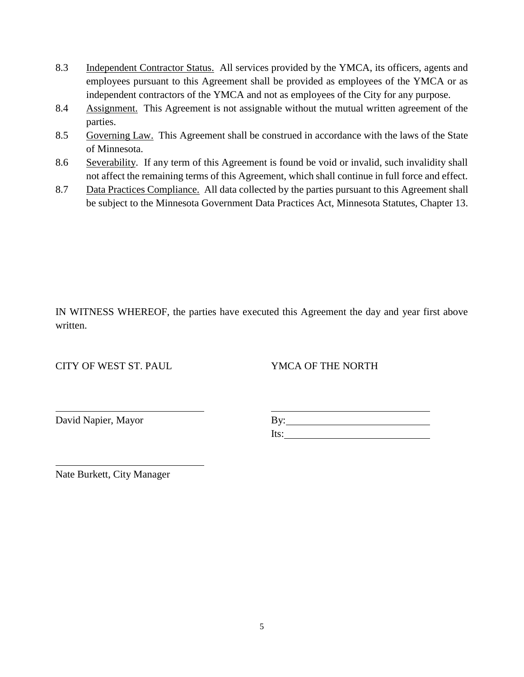- 8.3 Independent Contractor Status. All services provided by the YMCA, its officers, agents and employees pursuant to this Agreement shall be provided as employees of the YMCA or as independent contractors of the YMCA and not as employees of the City for any purpose.
- 8.4 Assignment. This Agreement is not assignable without the mutual written agreement of the parties.
- 8.5 Governing Law. This Agreement shall be construed in accordance with the laws of the State of Minnesota.
- 8.6 Severability. If any term of this Agreement is found be void or invalid, such invalidity shall not affect the remaining terms of this Agreement, which shall continue in full force and effect.
- 8.7 Data Practices Compliance. All data collected by the parties pursuant to this Agreement shall be subject to the Minnesota Government Data Practices Act, Minnesota Statutes, Chapter 13.

IN WITNESS WHEREOF, the parties have executed this Agreement the day and year first above written.

CITY OF WEST ST. PAUL YMCA OF THE NORTH

David Napier, Mayor

| By:  |  |
|------|--|
| lts: |  |

Nate Burkett, City Manager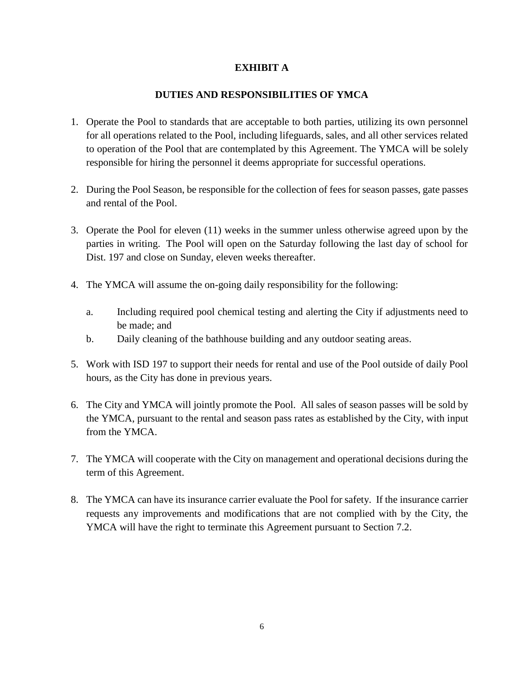### **EXHIBIT A**

### **DUTIES AND RESPONSIBILITIES OF YMCA**

- 1. Operate the Pool to standards that are acceptable to both parties, utilizing its own personnel for all operations related to the Pool, including lifeguards, sales, and all other services related to operation of the Pool that are contemplated by this Agreement. The YMCA will be solely responsible for hiring the personnel it deems appropriate for successful operations.
- 2. During the Pool Season, be responsible for the collection of fees for season passes, gate passes and rental of the Pool.
- 3. Operate the Pool for eleven (11) weeks in the summer unless otherwise agreed upon by the parties in writing. The Pool will open on the Saturday following the last day of school for Dist. 197 and close on Sunday, eleven weeks thereafter.
- 4. The YMCA will assume the on-going daily responsibility for the following:
	- a. Including required pool chemical testing and alerting the City if adjustments need to be made; and
	- b. Daily cleaning of the bathhouse building and any outdoor seating areas.
- 5. Work with ISD 197 to support their needs for rental and use of the Pool outside of daily Pool hours, as the City has done in previous years.
- 6. The City and YMCA will jointly promote the Pool. All sales of season passes will be sold by the YMCA, pursuant to the rental and season pass rates as established by the City, with input from the YMCA.
- 7. The YMCA will cooperate with the City on management and operational decisions during the term of this Agreement.
- 8. The YMCA can have its insurance carrier evaluate the Pool for safety. If the insurance carrier requests any improvements and modifications that are not complied with by the City, the YMCA will have the right to terminate this Agreement pursuant to Section 7.2.